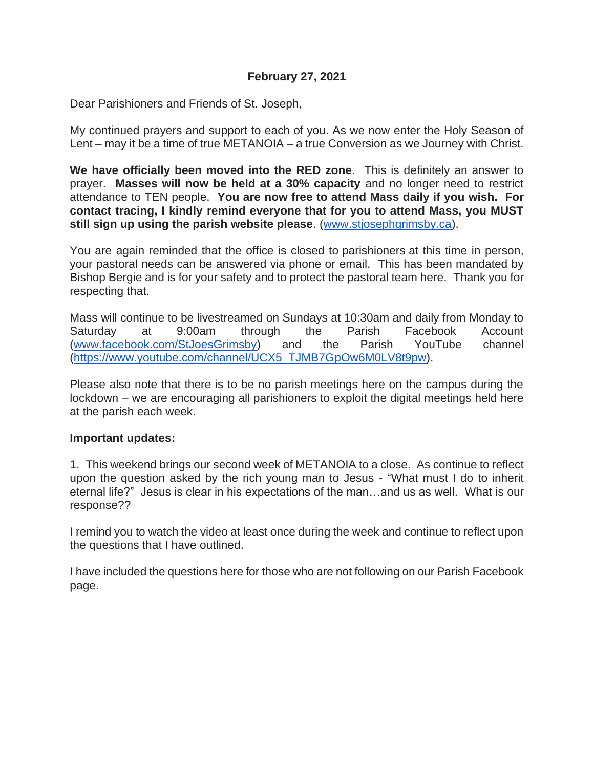### **February 27, 2021**

Dear Parishioners and Friends of St. Joseph,

My continued prayers and support to each of you. As we now enter the Holy Season of Lent – may it be a time of true METANOIA – a true Conversion as we Journey with Christ.

**We have officially been moved into the RED zone**. This is definitely an answer to prayer. **Masses will now be held at a 30% capacity** and no longer need to restrict attendance to TEN people. **You are now free to attend Mass daily if you wish. For contact tracing, I kindly remind everyone that for you to attend Mass, you MUST still sign up using the parish website please**. [\(www.stjosephgrimsby.ca\)](http://www.stjosephgrimsby.ca/).

You are again reminded that the office is closed to parishioners at this time in person, your pastoral needs can be answered via phone or email. This has been mandated by Bishop Bergie and is for your safety and to protect the pastoral team here. Thank you for respecting that.

Mass will continue to be livestreamed on Sundays at 10:30am and daily from Monday to Saturday at 9:00am through the Parish Facebook Account [\(www.facebook.com/StJoesGrimsby\)](http://www.facebook.com/StJoesGrimsby) and the Parish YouTube channel [\(https://www.youtube.com/channel/UCX5\\_TJMB7GpOw6M0LV8t9pw\)](https://www.youtube.com/channel/UCX5_TJMB7GpOw6M0LV8t9pw).

Please also note that there is to be no parish meetings here on the campus during the lockdown – we are encouraging all parishioners to exploit the digital meetings held here at the parish each week.

#### **Important updates:**

1. This weekend brings our second week of METANOIA to a close. As continue to reflect upon the question asked by the rich young man to Jesus - "What must I do to inherit eternal life?" Jesus is clear in his expectations of the man…and us as well. What is our response??

I remind you to watch the video at least once during the week and continue to reflect upon the questions that I have outlined.

I have included the questions here for those who are not following on our Parish Facebook page.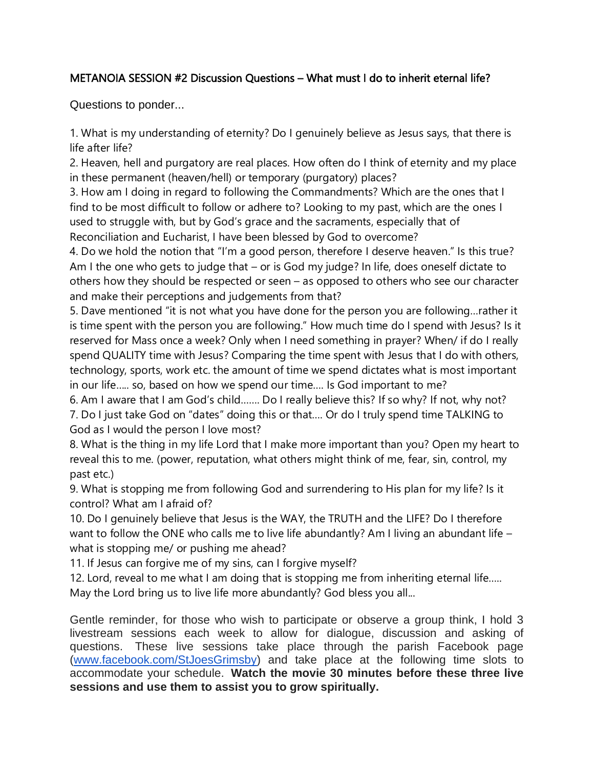# METANOIA SESSION #2 Discussion Questions – What must I do to inherit eternal life?

Questions to ponder...

1. What is my understanding of eternity? Do I genuinely believe as Jesus says, that there is life after life?

2. Heaven, hell and purgatory are real places. How often do I think of eternity and my place in these permanent (heaven/hell) or temporary (purgatory) places?

3. How am I doing in regard to following the Commandments? Which are the ones that I find to be most difficult to follow or adhere to? Looking to my past, which are the ones I used to struggle with, but by God's grace and the sacraments, especially that of Reconciliation and Eucharist, I have been blessed by God to overcome?

4. Do we hold the notion that "I'm a good person, therefore I deserve heaven." Is this true? Am I the one who gets to judge that – or is God my judge? In life, does oneself dictate to others how they should be respected or seen – as opposed to others who see our character and make their perceptions and judgements from that?

5. Dave mentioned "it is not what you have done for the person you are following…rather it is time spent with the person you are following." How much time do I spend with Jesus? Is it reserved for Mass once a week? Only when I need something in prayer? When/ if do I really spend QUALITY time with Jesus? Comparing the time spent with Jesus that I do with others, technology, sports, work etc. the amount of time we spend dictates what is most important in our life….. so, based on how we spend our time…. Is God important to me?

6. Am I aware that I am God's child……. Do I really believe this? If so why? If not, why not? 7. Do I just take God on "dates" doing this or that…. Or do I truly spend time TALKING to God as I would the person I love most?

8. What is the thing in my life Lord that I make more important than you? Open my heart to reveal this to me. (power, reputation, what others might think of me, fear, sin, control, my past etc.)

9. What is stopping me from following God and surrendering to His plan for my life? Is it control? What am I afraid of?

10. Do I genuinely believe that Jesus is the WAY, the TRUTH and the LIFE? Do I therefore want to follow the ONE who calls me to live life abundantly? Am I living an abundant life – what is stopping me/ or pushing me ahead?

11. If Jesus can forgive me of my sins, can I forgive myself?

12. Lord, reveal to me what I am doing that is stopping me from inheriting eternal life..... May the Lord bring us to live life more abundantly? God bless you all...

Gentle reminder, for those who wish to participate or observe a group think, I hold 3 livestream sessions each week to allow for dialogue, discussion and asking of questions. These live sessions take place through the parish Facebook page [\(www.facebook.com/StJoesGrimsby\)](http://www.facebook.com/StJoesGrimsby) and take place at the following time slots to accommodate your schedule. **Watch the movie 30 minutes before these three live sessions and use them to assist you to grow spiritually.**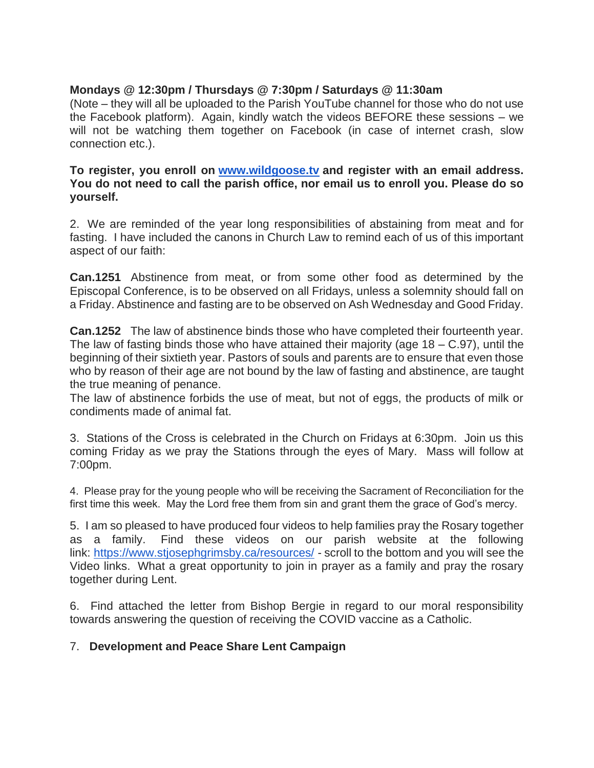### **Mondays @ 12:30pm / Thursdays @ 7:30pm / Saturdays @ 11:30am**

(Note – they will all be uploaded to the Parish YouTube channel for those who do not use the Facebook platform). Again, kindly watch the videos BEFORE these sessions – we will not be watching them together on Facebook (in case of internet crash, slow connection etc.).

### **To register, you enroll on [www.wildgoose.tv](http://www.wildgoose.tv/) and register with an email address. You do not need to call the parish office, nor email us to enroll you. Please do so yourself.**

2. We are reminded of the year long responsibilities of abstaining from meat and for fasting. I have included the canons in Church Law to remind each of us of this important aspect of our faith:

**Can.1251** Abstinence from meat, or from some other food as determined by the Episcopal Conference, is to be observed on all Fridays, unless a solemnity should fall on a Friday. Abstinence and fasting are to be observed on Ash Wednesday and Good Friday.

**Can.1252** The law of abstinence binds those who have completed their fourteenth year. The law of fasting binds those who have attained their majority (age  $18 - C.97$ ), until the beginning of their sixtieth year. Pastors of souls and parents are to ensure that even those who by reason of their age are not bound by the law of fasting and abstinence, are taught the true meaning of penance.

The law of abstinence forbids the use of meat, but not of eggs, the products of milk or condiments made of animal fat.

3. Stations of the Cross is celebrated in the Church on Fridays at 6:30pm. Join us this coming Friday as we pray the Stations through the eyes of Mary. Mass will follow at 7:00pm.

4. Please pray for the young people who will be receiving the Sacrament of Reconciliation for the first time this week. May the Lord free them from sin and grant them the grace of God's mercy.

5. I am so pleased to have produced four videos to help families pray the Rosary together as a family. Find these videos on our parish website at the following link: <https://www.stjosephgrimsby.ca/resources/> - scroll to the bottom and you will see the Video links. What a great opportunity to join in prayer as a family and pray the rosary together during Lent.

6. Find attached the letter from Bishop Bergie in regard to our moral responsibility towards answering the question of receiving the COVID vaccine as a Catholic.

### 7. **Development and Peace Share Lent Campaign**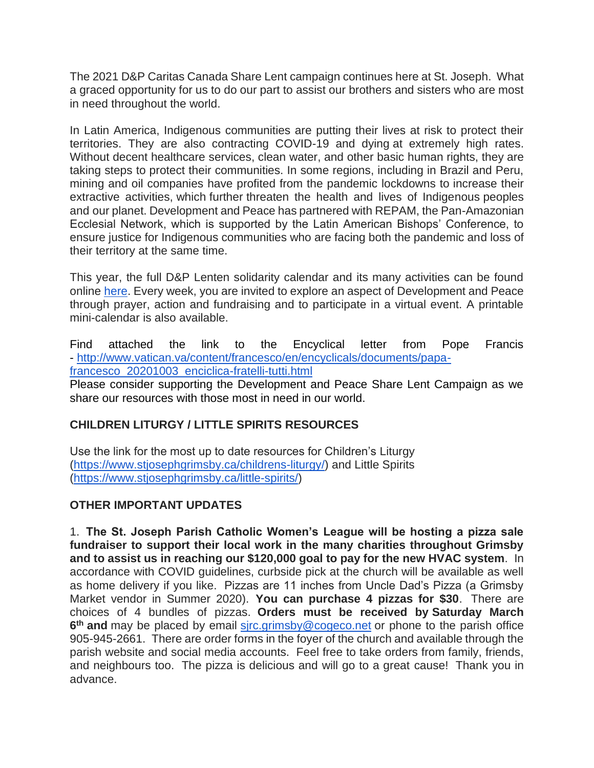The 2021 D&P Caritas Canada Share Lent campaign continues here at St. Joseph. What a graced opportunity for us to do our part to assist our brothers and sisters who are most in need throughout the world.

In Latin America, Indigenous communities are putting their lives at risk to protect their territories. They are also contracting COVID-19 and dying at extremely high rates. Without decent healthcare services, clean water, and other basic human rights, they are taking steps to protect their communities. In some regions, including in Brazil and Peru, mining and oil companies have profited from the pandemic lockdowns to increase their extractive activities, which further threaten the health and lives of Indigenous peoples and our planet. Development and Peace has partnered with REPAM, the Pan-Amazonian Ecclesial Network, which is supported by the Latin American Bishops' Conference, to ensure justice for Indigenous communities who are facing both the pandemic and loss of their territory at the same time.

This year, the full D&P Lenten solidarity calendar and its many activities can be found online [here.](https://www.devp.org/en/lentcalendar-2021) Every week, you are invited to explore an aspect of Development and Peace through prayer, action and fundraising and to participate in a virtual event. A printable mini-calendar is also available.

Find attached the link to the Encyclical letter from Pope Francis - [http://www.vatican.va/content/francesco/en/encyclicals/documents/papa](http://www.vatican.va/content/francesco/en/encyclicals/documents/papa-francesco_20201003_enciclica-fratelli-tutti.html)[francesco\\_20201003\\_enciclica-fratelli-tutti.html](http://www.vatican.va/content/francesco/en/encyclicals/documents/papa-francesco_20201003_enciclica-fratelli-tutti.html)

Please consider supporting the Development and Peace Share Lent Campaign as we share our resources with those most in need in our world.

# **CHILDREN LITURGY / LITTLE SPIRITS RESOURCES**

Use the link for the most up to date resources for Children's Liturgy [\(https://www.stjosephgrimsby.ca/childrens-liturgy/\)](https://www.stjosephgrimsby.ca/childrens-liturgy/) and Little Spirits [\(https://www.stjosephgrimsby.ca/little-spirits/\)](https://www.stjosephgrimsby.ca/little-spirits/)

# **OTHER IMPORTANT UPDATES**

1. **The St. Joseph Parish Catholic Women's League will be hosting a pizza sale fundraiser to support their local work in the many charities throughout Grimsby and to assist us in reaching our \$120,000 goal to pay for the new HVAC system**. In accordance with COVID guidelines, curbside pick at the church will be available as well as home delivery if you like. Pizzas are 11 inches from Uncle Dad's Pizza (a Grimsby Market vendor in Summer 2020). **You can purchase 4 pizzas for \$30**. There are choices of 4 bundles of pizzas. **Orders must be received by Saturday March**  6<sup>th</sup> and may be placed by email sirc.grimsby@cogeco.net or phone to the parish office 905-945-2661. There are order forms in the foyer of the church and available through the parish website and social media accounts. Feel free to take orders from family, friends, and neighbours too. The pizza is delicious and will go to a great cause! Thank you in advance.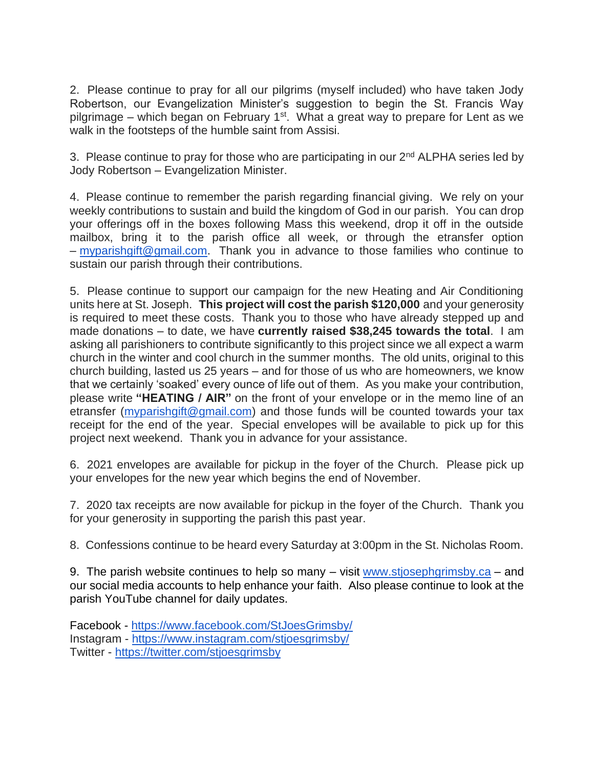2. Please continue to pray for all our pilgrims (myself included) who have taken Jody Robertson, our Evangelization Minister's suggestion to begin the St. Francis Way pilgrimage – which began on February 1<sup>st</sup>. What a great way to prepare for Lent as we walk in the footsteps of the humble saint from Assisi.

3. Please continue to pray for those who are participating in our 2<sup>nd</sup> ALPHA series led by Jody Robertson – Evangelization Minister.

4. Please continue to remember the parish regarding financial giving. We rely on your weekly contributions to sustain and build the kingdom of God in our parish. You can drop your offerings off in the boxes following Mass this weekend, drop it off in the outside mailbox, bring it to the parish office all week, or through the etransfer option – [myparishgift@gmail.com.](mailto:myparishgift@gmail.com) Thank you in advance to those families who continue to sustain our parish through their contributions.

5. Please continue to support our campaign for the new Heating and Air Conditioning units here at St. Joseph. **This project will cost the parish \$120,000** and your generosity is required to meet these costs. Thank you to those who have already stepped up and made donations – to date, we have **currently raised \$38,245 towards the total**. I am asking all parishioners to contribute significantly to this project since we all expect a warm church in the winter and cool church in the summer months. The old units, original to this church building, lasted us 25 years – and for those of us who are homeowners, we know that we certainly 'soaked' every ounce of life out of them. As you make your contribution, please write **"HEATING / AIR"** on the front of your envelope or in the memo line of an etransfer [\(myparishgift@gmail.com\)](mailto:myparishgift@gmail.com) and those funds will be counted towards your tax receipt for the end of the year. Special envelopes will be available to pick up for this project next weekend. Thank you in advance for your assistance.

6. 2021 envelopes are available for pickup in the foyer of the Church. Please pick up your envelopes for the new year which begins the end of November.

7. 2020 tax receipts are now available for pickup in the foyer of the Church. Thank you for your generosity in supporting the parish this past year.

8. Confessions continue to be heard every Saturday at 3:00pm in the St. Nicholas Room.

9. The parish website continues to help so many – visit [www.stjosephgrimsby.ca](http://www.stjosephgrimsby.ca/) – and our social media accounts to help enhance your faith. Also please continue to look at the parish YouTube channel for daily updates.

Facebook - <https://www.facebook.com/StJoesGrimsby/> Instagram - <https://www.instagram.com/stjoesgrimsby/> Twitter - <https://twitter.com/stjoesgrimsby>